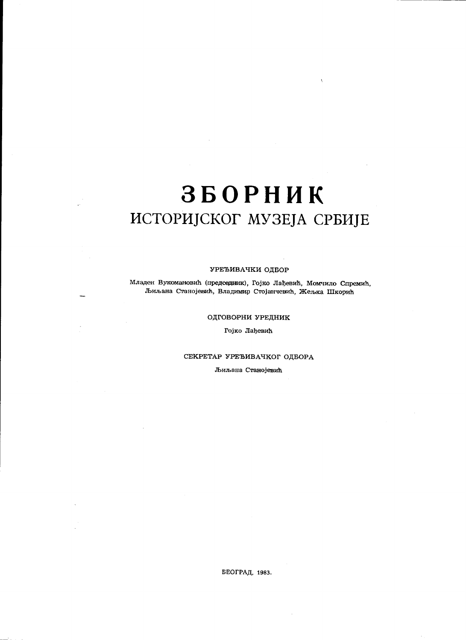# **ЗБОРНИК** ИСТОРИЈСКОГ МУЗЕЈА СРБИЈЕ

### УРЕЂИВАЧКИ ОДБОР

Младен Вукюмановић (председник), Гојко Лађевић, Момчило Спремић, Љиљана Станојевић, Владимир Стојанчевић, Жељка Шкорић

### ОДГОВОРНИ УРЕДНИК

Гојко Лађевић

# СЕКРЕТАР УРЕЂИВАЧКОГ ОДБОРА

Љиљана Станојевић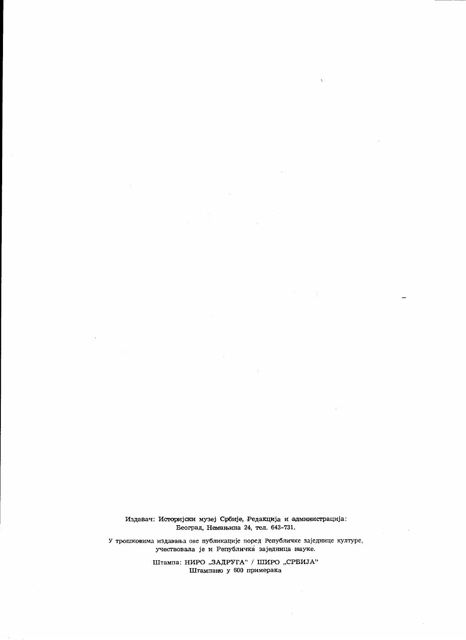Издавач: Историјски музеј Србије, Редакција и администрација: Београд, Немањина 24, тел. 643-731.

У трошковима издавања ове публикације поред Републичке заједнице културе, учествовала је и Републичка заједница науке.

> Штампа: НИРО "ЗАДРУГА" / ШИРО "СРБИЈА" Штампано у 600 примерака